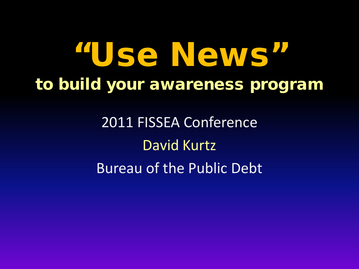# "Use News" to build your awareness program

2011 FISSEA Conference David Kurtz Bureau of the Public Debt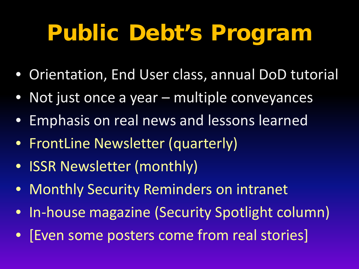# Public Debt's Program

- Orientation, End User class, annual DoD tutorial
- Not just once a year multiple conveyances
- Emphasis on real news and lessons learned
- FrontLine Newsletter (quarterly)
- ISSR Newsletter (monthly)
- Monthly Security Reminders on intranet
- In-house magazine (Security Spotlight column)
- [Even some posters come from real stories]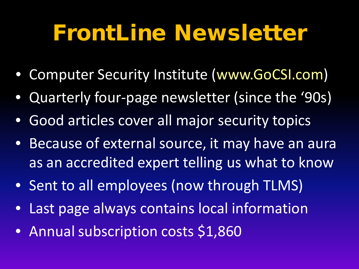## FrontLine Newsletter

- Computer Security Institute (www.GoCSI.com)
- Quarterly four-page newsletter (since the '90s)
- Good articles cover all major security topics
- Because of external source, it may have an aura as an accredited expert telling us what to know
- Sent to all employees (now through TLMS)
- Last page always contains local information
- Annual subscription costs \$1,860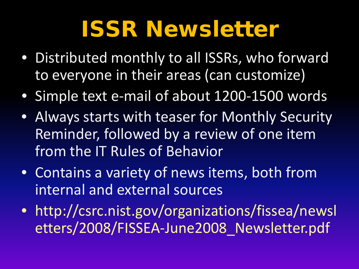## ISSR Newsletter

- Distributed monthly to all ISSRs, who forward to everyone in their areas (can customize)
- Simple text e-mail of about 1200-1500 words
- Always starts with teaser for Monthly Security Reminder, followed by a review of one item from the IT Rules of Behavior
- Contains a variety of news items, both from internal and external sources
- http://csrc.nist.gov/organizations/fissea/newsl etters/2008/FISSEA-June2008\_Newsletter.pdf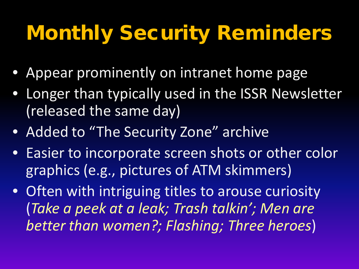## Monthly Security Reminders

- Appear prominently on intranet home page
- Longer than typically used in the ISSR Newsletter (released the same day)
- Added to "The Security Zone" archive
- Easier to incorporate screen shots or other color graphics (e.g., pictures of ATM skimmers)
- Often with intriguing titles to arouse curiosity (*Take a peek at a leak; Trash talkin'; Men are better than women?; Flashing; Three heroes*)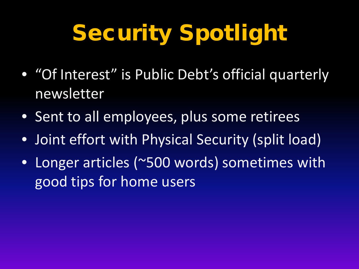# Security Spotlight

- "Of Interest" is Public Debt's official quarterly newsletter
- Sent to all employees, plus some retirees
- Joint effort with Physical Security (split load)
- Longer articles (~500 words) sometimes with good tips for home users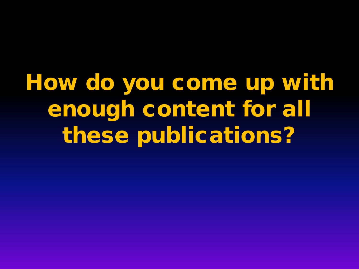How do you come up with enough content for all these publications?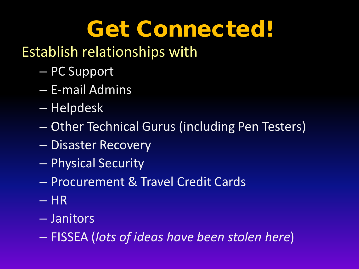# Get Connected!

#### Establish relationships with

- PC Support
- E-mail Admins
- Helpdesk
- Other Technical Gurus (including Pen Testers)
- Disaster Recovery
- Physical Security
- Procurement & Travel Credit Cards
- $-$  HR
- Janitors
- FISSEA (*lots of ideas have been stolen here*)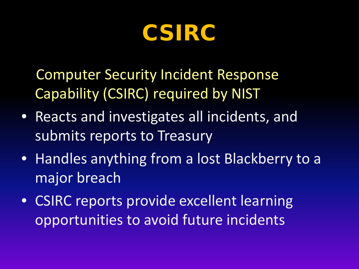CSIRC

Computer Security Incident Response Capability (CSIRC) required by NIST

- Reacts and investigates all incidents, and submits reports to Treasury
- Handles anything from a lost Blackberry to a major breach
- CSIRC reports provide excellent learning opportunities to avoid future incidents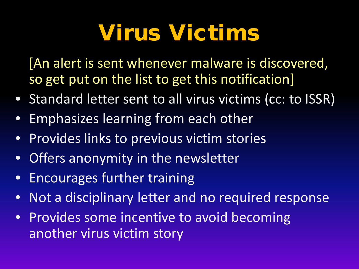# Virus Victims

[An alert is sent whenever malware is discovered, so get put on the list to get this notification]

- Standard letter sent to all virus victims (cc: to ISSR)
- Emphasizes learning from each other
- Provides links to previous victim stories
- Offers anonymity in the newsletter
- Encourages further training
- Not a disciplinary letter and no required response
- Provides some incentive to avoid becoming another virus victim story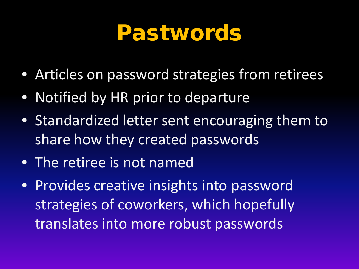### Pastwords

- Articles on password strategies from retirees
- Notified by HR prior to departure
- Standardized letter sent encouraging them to share how they created passwords
- The retiree is not named
- Provides creative insights into password strategies of coworkers, which hopefully translates into more robust passwords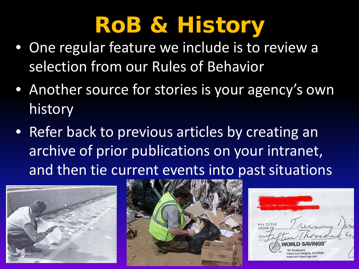# RoB & History

- One regular feature we include is to review a selection from our Rules of Behavior
- Another source for stories is your agency's own history
- Refer back to previous articles by creating an archive of prior publications on your intranet, and then tie current events into past situations





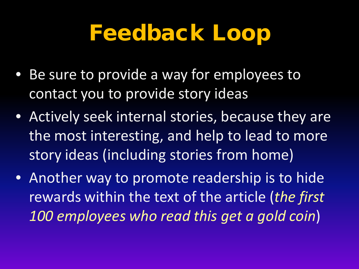## Feedback Loop

- Be sure to provide a way for employees to contact you to provide story ideas
- Actively seek internal stories, because they are the most interesting, and help to lead to more story ideas (including stories from home)
- Another way to promote readership is to hide rewards within the text of the article (*the first 100 employees who read this get a gold coin*)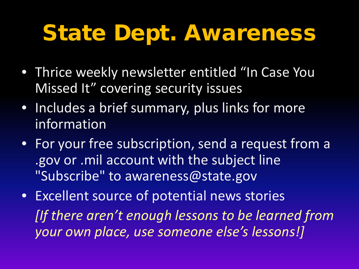## State Dept. Awareness

- Thrice weekly newsletter entitled "In Case You Missed It" covering security issues
- Includes a brief summary, plus links for more information
- For your free subscription, send a request from a .gov or .mil account with the subject line "Subscribe" to awareness@state.gov
- Excellent source of potential news stories *[If there aren't enough lessons to be learned from your own place, use someone else's lessons!]*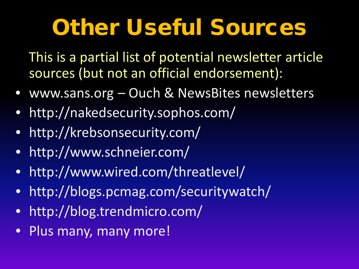# Other Useful Sources

This is a partial list of potential newsletter article sources (but not an official endorsement):

- www.sans.org Ouch & NewsBites newsletters
- http://nakedsecurity.sophos.com/
- http://krebsonsecurity.com/
- http://www.schneier.com/
- http://www.wired.com/threatlevel/
- http://blogs.pcmag.com/securitywatch/
- http://blog.trendmicro.com/
- Plus many, many more!